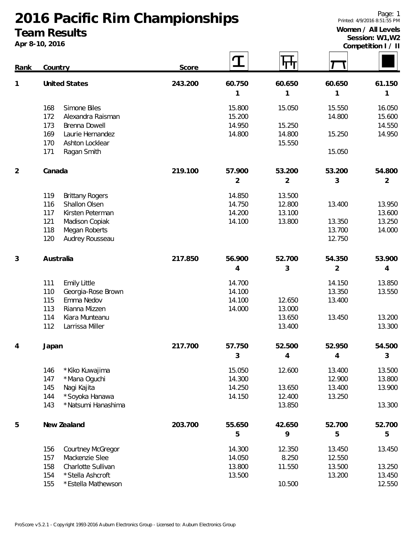## **2016 Pacific Rim Championships Team Results**

**Apr 8-10, 2016**

**Competition I / II**

| Rank           | Country                       | Score   |                | पण             |                |                |  |
|----------------|-------------------------------|---------|----------------|----------------|----------------|----------------|--|
| 1              | <b>United States</b>          | 243.200 | 60.750         | 60.650         | 60.650         | 61.150         |  |
|                |                               |         | 1              | 1              | 1              | 1              |  |
|                | 168<br>Simone Biles           |         | 15.800         | 15.050         | 15.550         | 16.050         |  |
|                | 172<br>Alexandra Raisman      |         | 15.200         |                | 14.800         | 15.600         |  |
|                | 173<br>Brenna Dowell          |         | 14.950         | 15.250         |                | 14.550         |  |
|                | 169<br>Laurie Hernandez       |         | 14.800         | 14.800         | 15.250         | 14.950         |  |
|                | 170<br>Ashton Locklear        |         |                | 15.550         |                |                |  |
|                | Ragan Smith<br>171            |         |                |                | 15.050         |                |  |
| $\overline{2}$ | Canada                        | 219.100 | 57.900         | 53.200         | 53.200         | 54.800         |  |
|                |                               |         | $\overline{2}$ | $\overline{2}$ | 3              | $\overline{2}$ |  |
|                | 119<br><b>Brittany Rogers</b> |         | 14.850         | 13.500         |                |                |  |
|                | Shallon Olsen<br>116          |         | 14.750         | 12.800         | 13.400         | 13.950         |  |
|                | 117<br>Kirsten Peterman       |         | 14.200         | 13.100         |                | 13.600         |  |
|                | 121<br>Madison Copiak         |         | 14.100         | 13.800         | 13.350         | 13.250         |  |
|                | 118<br>Megan Roberts          |         |                |                | 13.700         | 14.000         |  |
|                | 120<br>Audrey Rousseau        |         |                |                | 12.750         |                |  |
| 3              | Australia                     | 217.850 | 56.900         | 52.700         | 54.350         | 53.900         |  |
|                |                               |         | $\overline{4}$ | 3              | $\overline{2}$ | 4              |  |
|                | <b>Emily Little</b><br>111    |         | 14.700         |                | 14.150         | 13.850         |  |
|                | 110<br>Georgia-Rose Brown     |         | 14.100         |                | 13.350         | 13.550         |  |
|                | Emma Nedov<br>115             |         | 14.100         | 12.650         | 13.400         |                |  |
|                | 113<br>Rianna Mizzen          |         | 14.000         | 13.000         |                |                |  |
|                | 114<br>Kiara Munteanu         |         |                | 13.650         | 13.450         | 13.200         |  |
|                | 112<br>Larrissa Miller        |         |                | 13.400         |                | 13.300         |  |
| 4              | Japan                         | 217.700 | 57.750         | 52.500         | 52.950         | 54.500         |  |
|                |                               |         | 3              | 4              | 4              | 3              |  |
|                | 146<br>* Kiko Kuwajima        |         | 15.050         | 12.600         | 13.400         | 13.500         |  |
|                | 147<br>*Mana Oguchi           |         | 14.300         |                | 12.900         | 13.800         |  |
|                | 145<br>Nagi Kajita            |         | 14.250         | 13.650         | 13.400         | 13.900         |  |
|                | *Soyoka Hanawa<br>144         |         | 14.150         | 12.400         | 13.250         |                |  |
|                | 143<br>* Natsumi Hanashima    |         |                | 13.850         |                | 13.300         |  |
| 5              | New Zealand                   | 203.700 | 55.650         | 42.650         | 52.700         | 52.700         |  |
|                |                               |         | 5              | 9              | 5              | 5              |  |
|                | 156<br>Courtney McGregor      |         | 14.300         | 12.350         | 13.450         | 13.450         |  |
|                | 157<br>Mackenzie Slee         |         | 14.050         | 8.250          | 12.550         |                |  |
|                | 158<br>Charlotte Sullivan     |         | 13.800         | 11.550         | 13.500         | 13.250         |  |
|                | 154<br>*Stella Ashcroft       |         | 13.500         |                | 13.200         | 13.450         |  |
|                | 155<br>*Estella Mathewson     |         |                | 10.500         |                | 12.550         |  |